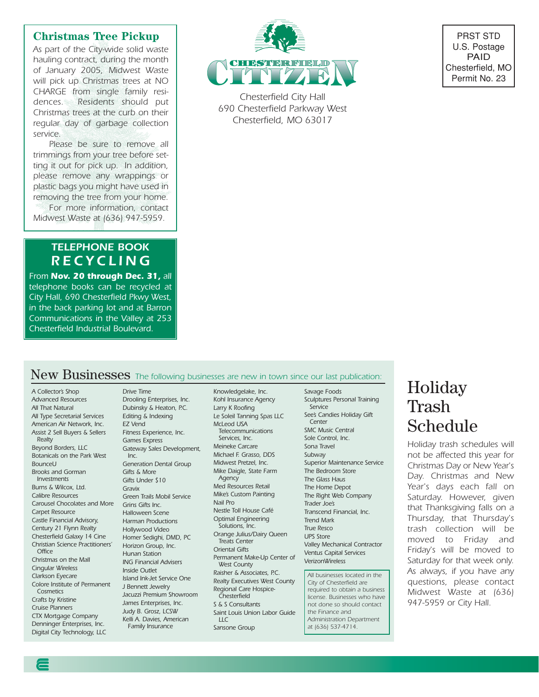#### **Christmas Tree Pickup**

*As part of the City-wide solid waste hauling contract, during the month of January 2005, Midwest Waste will pick up Christmas trees at NO CHARGE from single family residences. Residents should put Christmas trees at the curb on their regular day of garbage collection service.*

*Please be sure to remove all trimmings from your tree before setting it out for pick up. In addition, please remove any wrappings or plastic bags you might have used in removing the tree from your home.*

*For more information, contact Midwest Waste at (636) 947-5959.*

### *TELEPHONE BOOK RECYCLING*

*From Nov. 20 through Dec. 31, all telephone books can be recycled at City Hall, 690 Chesterfield Pkwy West, in the back parking lot and at Barron Communications in the Valley at 253 Chesterfield Industrial Boulevard.*



*Chesterfield City Hall 690 Chesterfield Parkway West Chesterfield, MO 63017*



### New Businesses *The following businesses are new in town since our last publication:*

*A Collector's Shop Advanced Resources All That Natural All Type Secretarial Services American Air Network, Inc. Assist 2 Sell Buyers & Sellers Realty Beyond Borders, LLC Botanicals on the Park West BounceU Brooks and Gorman Investments Burns & Wilcox, Ltd. Calibre Resources Carousel Chocolates and More Grins Gifts Inc. Carpet Resource Castle Financial Advisory, Century 21 Flynn Realty Chesterfield Galaxy 14 Cine Christian Science Practitioners' Office Christmas on the Mall Cingular Wireless Clarkson Eyecare Colore Institute of Permanent Cosmetics Crafts by Kristine Cruise Planners CTX Mortgage Company Denninger Enterprises, Inc. Digital City Technology, LLC*

*Drooling Enterprises, Inc. Dubinsky & Heaton, P.C. Editing & Indexing EZ Vend Fitness Experience, Inc. Games Express Gateway Sales Development, Inc. Generation Dental Group Gifts & More Gifts Under \$10 Gravix Green Trails Mobil Service Halloween Scene Harman Productions Hollywood Video Homer Sedighi, DMD, PC Horizon Group, Inc. Hunan Station ING Financial Advisers Inside Outlet Island Ink-Jet Service One J Bennett Jewelry Jacuzzi Premium Showroom James Enterprises, Inc. Judy B. Grosz, LCSW Kelli A. Davies, American Family Insurance*

*Drive Time*

*Knowledgelake, Inc. Kohl Insurance Agency Larry K Roofing Le Soleil Tanning Spas LLC McLeod USA Telecommunications Services, Inc. Meineke Carcare Michael F. Grasso, DDS Midwest Pretzel, Inc. Mike Daigle, State Farm Agency Med Resources Retail Mike's Custom Painting Nail Pro Nestle Toll House Café Optimal Engineering Solutions, Inc. Orange Julius/Dairy Queen Treats Center Oriental Gifts Permanent Make-Up Center of West County Raisher & Associates, P.C. Realty Executives West County Regional Care Hospice-Chesterfield S & S Consultants Saint Louis Union Labor Guide LLC Sansone Group*

*Savage Foods Sculptures Personal Training Service See's Candies Holiday Gift Center SMC Music Central Sole Control, Inc. Sona Travel Subway Superior Maintenance Service The Bedroom Store The Glass Haus The Home Depot The Right Web Company Trader Joe's Transcend Financial, Inc. Trend Mark True Resco UPS Store Valley Mechanical Contractor Ventus Capital Services VerizonWireless*

*All businesses located in the City of Chesterfield are required to obtain a business license. Businesses who have not done so should contact the Finance and Administration Department at (636) 537-4714.*

# Holiday Trash Schedule

*Holiday trash schedules will not be affected this year for Christmas Day or New Year's Day. Christmas and New Year's days each fall on Saturday. However, given that Thanksgiving falls on a Thursday, that Thursday's trash collection will be moved to Friday and Friday's will be moved to Saturday for that week only. As always, if you have any questions, please contact Midwest Waste at (636) 947-5959 or City Hall.*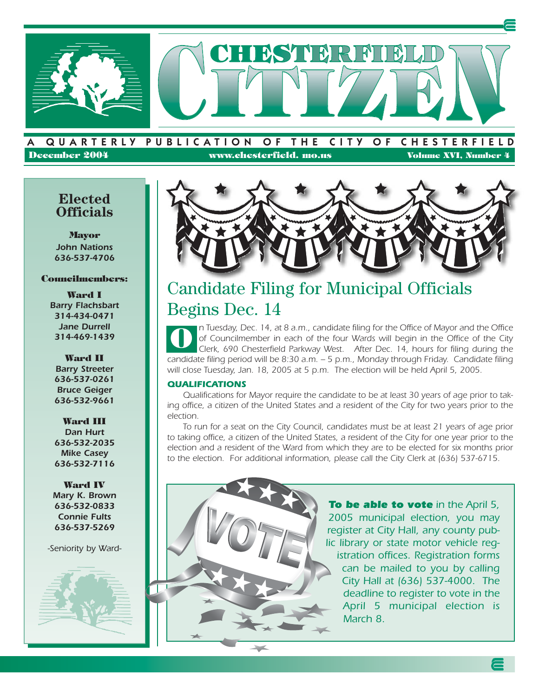

### QUARTERLY PUBLICATION OF THE CITY OF CHESTERFIELD **December 2004 www.chesterfield. mo.us Volume XVI, Number 4**

### **Elected Officials**

**Mayor** *John Nations 636-537-4706*

### **Councilmembers:**

**Ward I** *Barry Flachsbart 314-434-0471 Jane Durrell 314-469-1439*

**Ward II** *Barry Streeter 636-537-0261 Bruce Geiger 636-532-9661*

**Ward III** *Dan Hurt 636-532-2035 Mike Casey 636-532-7116*

**Ward IV** *Mary K. Brown 636-532-0833 Connie Fults 636-537-5269*

*-Seniority by Ward-*





# Candidate Filing for Municipal Officials Begins Dec. 14

*n Tuesday, Dec. 14, at 8 a.m., candidate filing for the Office of Mayor and the Office of Councilmember in each of the four Wards will begin in the Office of the City Clerk, 690 Chesterfield Parkway West. After Dec. 14, hours for filing during the candidate filing period will be 8:30 a.m. – 5 p.m., Monday through Friday. Candidate filing* will close Tuesday, Jan. 18, 2005 at 5 p.m. The election will be held April 5, 2005. **O**

#### *QUALIFICATIONS*

*Qualifications for Mayor require the candidate to be at least 30 years of age prior to taking office, a citizen of the United States and a resident of the City for two years prior to the election.*

*To run for a seat on the City Council, candidates must be at least 21 years of age prior to taking office, a citizen of the United States, a resident of the City for one year prior to the election and a resident of the Ward from which they are to be elected for six months prior to the election. For additional information, please call the City Clerk at (636) 537-6715.*

![](_page_1_Picture_17.jpeg)

*To be able to vote in the April 5, 2005 municipal election, you may register at City Hall, any county public library or state motor vehicle registration offices. Registration forms can be mailed to you by calling City Hall at (636) 537-4000. The deadline to register to vote in the April 5 municipal election is March 8.*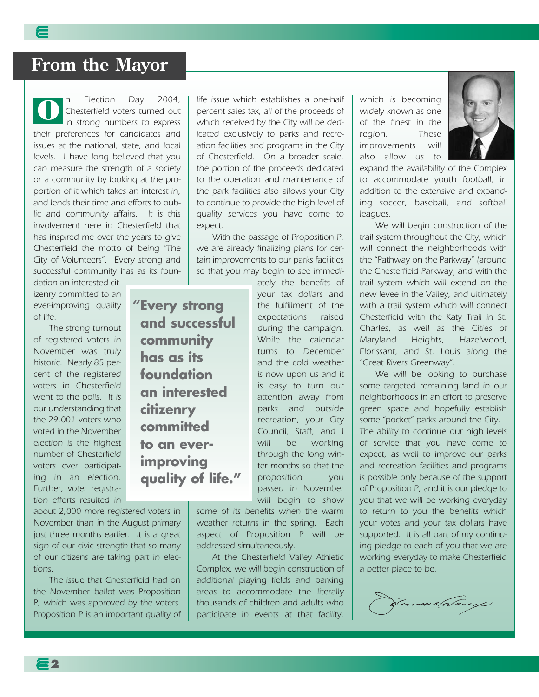# **From the Mayor**

*n Election Day 2004, Chesterfield voters turned out in strong numbers to express their preferences for candidates and issues at the national, state, and local levels. I have long believed that you can measure the strength of a society or a community by looking at the proportion of it which takes an interest in, and lends their time and efforts to public and community affairs. It is this involvement here in Chesterfield that has inspired me over the years to give Chesterfield the motto of being "The City of Volunteers". Every strong and successful community has as its foun-***O**

**"Every strong**

**community has as its foundation** 

**an interested** 

**citizenry committed** 

**to an ever-**

**improving**

**quality of life."**

**and successful**

*dation an interested citizenry committed to an ever-improving quality of life.*

*The strong turnout of registered voters in November was truly historic. Nearly 85 percent of the registered voters in Chesterfield went to the polls. It is our understanding that the 29,001 voters who voted in the November election is the highest number of Chesterfield voters ever participating in an election. Further, voter registration efforts resulted in*

*about 2,000 more registered voters in November than in the August primary just three months earlier. It is a great sign of our civic strength that so many of our citizens are taking part in elections.*

*The issue that Chesterfield had on the November ballot was Proposition P, which was approved by the voters. Proposition P is an important quality of*

**2**

*life issue which establishes a one-half percent sales tax, all of the proceeds of which received by the City will be dedicated exclusively to parks and recreation facilities and programs in the City of Chesterfield. On a broader scale, the portion of the proceeds dedicated to the operation and maintenance of the park facilities also allows your City to continue to provide the high level of quality services you have come to expect.*

*With the passage of Proposition P, we are already finalizing plans for certain improvements to our parks facilities so that you may begin to see immedi-*

> *ately the benefits of your tax dollars and the fulfillment of the expectations raised during the campaign. While the calendar turns to December and the cold weather is now upon us and it is easy to turn our attention away from parks and outside recreation, your City Council, Staff, and I will be working through the long winter months so that the proposition you passed in November will begin to show*

*some of its benefits when the warm weather returns in the spring. Each aspect of Proposition P will be addressed simultaneously.*

*At the Chesterfield Valley Athletic Complex, we will begin construction of additional playing fields and parking areas to accommodate the literally thousands of children and adults who participate in events at that facility,* *which is becoming widely known as one of the finest in the region. These improvements will also allow us to*

*expand the availability of the Complex to accommodate youth football, in addition to the extensive and expanding soccer, baseball, and softball leagues.*

*We will begin construction of the trail system throughout the City, which will connect the neighborhoods with the "Pathway on the Parkway" (around the Chesterfield Parkway) and with the trail system which will extend on the new levee in the Valley, and ultimately with a trail system which will connect Chesterfield with the Katy Trail in St. Charles, as well as the Cities of Maryland Heights, Hazelwood, Florissant, and St. Louis along the "Great Rivers Greenway".*

*We will be looking to purchase some targeted remaining land in our neighborhoods in an effort to preserve green space and hopefully establish some "pocket" parks around the City. The ability to continue our high levels of service that you have come to expect, as well to improve our parks and recreation facilities and programs is possible only because of the support of Proposition P, and it is our pledge to you that we will be working everyday to return to you the benefits which your votes and your tax dollars have supported. It is all part of my continuing pledge to each of you that we are working everyday to make Chesterfield a better place to be.*

Samuela lea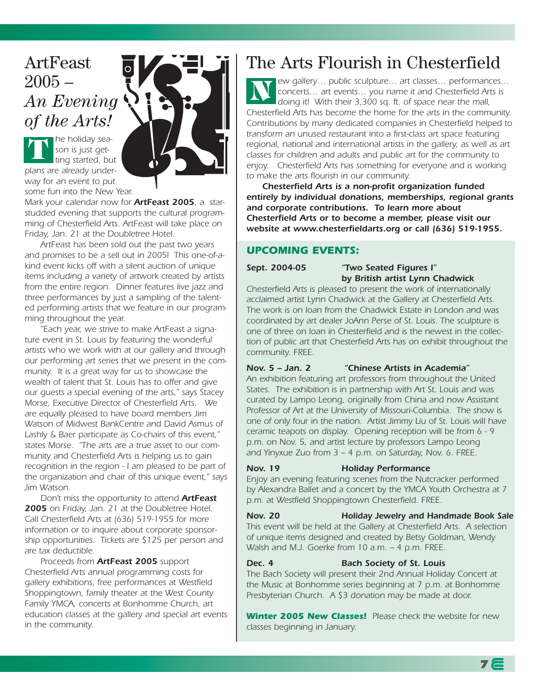### ArtFeast  $2005 -$ *An Evening of the Arts!*

![](_page_3_Picture_1.jpeg)

*Mark your calendar now for ArtFeast 2005, a starstudded evening that supports the cultural programming of Chesterfield Arts. ArtFeast will take place on Friday, Jan. 21 at the Doubletree Hotel.* 

*ArtFeast has been sold out the past two years and promises to be a sell out in 2005! This one-of-akind event kicks off with a silent auction of unique items including a variety of artwork created by artists from the entire region. Dinner features live jazz and three performances by just a sampling of the talented performing artists that we feature in our programming throughout the year.* 

*"Each year, we strive to make ArtFeast a signature event in St. Louis by featuring the wonderful artists who we work with at our gallery and through our performing art series that we present in the community. It is a great way for us to showcase the wealth of talent that St. Louis has to offer and give our guests a special evening of the arts," says Stacey Morse, Executive Director of Chesterfield Arts. We are equally pleased to have board members Jim Watson of Midwest BankCentre and David Asmus of Lashly & Baer participate as Co-chairs of this event," states Morse. "The arts are a true asset to our community and Chesterfield Arts is helping us to gain recognition in the region - I am pleased to be part of the organization and chair of this unique event," says Jim Watson.* 

*Don't miss the opportunity to attend ArtFeast 2005 on Friday, Jan. 21 at the Doubletree Hotel. Call Chesterfield Arts at (636) 519-1955 for more information or to inquire about corporate sponsorship opportunities. Tickets are \$125 per person and are tax deductible.*

*Proceeds from ArtFeast 2005 support Chesterfield Arts annual programming costs for gallery exhibitions, free performances at Westfield Shoppingtown, family theater at the West County Family YMCA, concerts at Bonhomme Church, art education classes at the gallery and special art events in the community.*

# The Arts Flourish in Chesterfield

*ew gallery… public sculpture… art classes… performances… concerts… art events… you name it and Chesterfield Arts is doing it! With their 3,300 sq. ft. of space near the mall, Chesterfield Arts has become the home for the arts in the community. Contributions by many dedicated companies in Chesterfield helped to transform an unused restaurant into a first-class art space featuring regional, national and international artists in the gallery, as well as art classes for children and adults and public art for the community to enjoy. Chesterfield Arts has something for everyone and is working to make the arts flourish in our community.* **N**

*Chesterfield Arts is a non-profit organization funded entirely by individual donations, memberships, regional grants and corporate contributions. To learn more about Chesterfield Arts or to become a member, please visit our website at www.chesterfieldarts.org or call (636) 519-1955.*

### *UPCOMING EVENTS:*

#### *Sept. 2004-05 "Two Seated Figures I" by British artist Lynn Chadwick*

*Chesterfield Arts is pleased to present the work of internationally acclaimed artist Lynn Chadwick at the Gallery at Chesterfield Arts. The work is on loan from the Chadwick Estate in London and was coordinated by art dealer JoAnn Perse of St. Louis. The sculpture is one of three on loan in Chesterfield and is the newest in the collection of public art that Chesterfield Arts has on exhibit throughout the community. FREE.* 

### *Nov. 5 – Jan. 2 "Chinese Artists in Academia"*

*An exhibition featuring art professors from throughout the United States. The exhibition is in partnership with Art St. Louis and was curated by Lampo Leong, originally from China and now Assistant Professor of Art at the University of Missouri-Columbia. The show is one of only four in the nation. Artist Jimmy Liu of St. Louis will have ceramic teapots on display. Opening reception will be from 6 - 9* p.m. on Nov. 5, and artist lecture by professors Lampo Leong *and Yinyxue Zuo from 3 – 4 p.m. on Saturday, Nov. 6. FREE.*

#### *Nov. 19 Holiday Performance*

*Enjoy an evening featuring scenes from the Nutcracker performed by Alexandra Ballet and a concert by the YMCA Youth Orchestra at 7 p.m. at Westfield Shoppingtown Chesterfield. FREE.*

#### *Nov. 20 Holiday Jewelry and Handmade Book Sale*

*This event will be held at the Gallery at Chesterfield Arts. A selection of unique items designed and created by Betsy Goldman, Wendy Walsh and M.J. Goerke from 10 a.m. – 4 p.m. FREE.*

#### *Dec. 4 Bach Society of St. Louis*

*The Bach Society will present their 2nd Annual Holiday Concert at the Music at Bonhomme series beginning at 7 p.m. at Bonhomme Presbyterian Church. A \$3 donation may be made at door.*

*Winter 2005 New Classes! Please check the website for new classes beginning in January.*

![](_page_3_Picture_23.jpeg)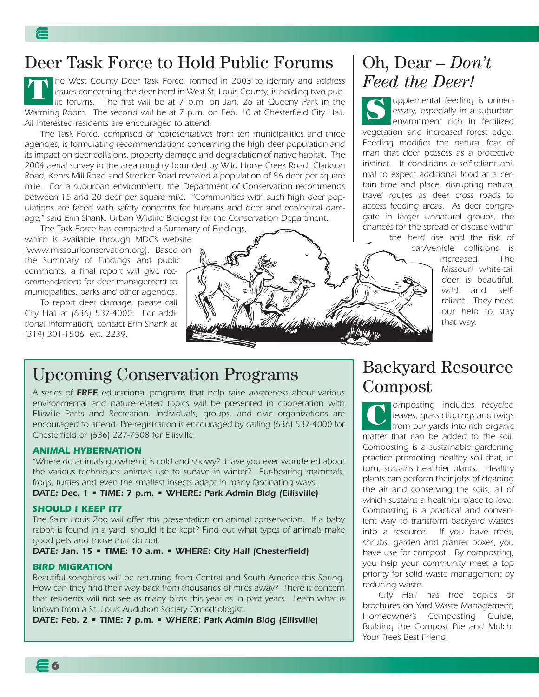# Deer Task Force to Hold Public Forums

*he West County Deer Task Force, formed in 2003 to identify and address issues concerning the deer herd in West St. Louis County, is holding two public forums. The first will be at 7 p.m. on Jan. 26 at Queeny Park in the Warming Room. The second will be at 7 p.m. on Feb. 10 at Chesterfield City Hall. All interested residents are encouraged to attend.* **T**

*The Task Force, comprised of representatives from ten municipalities and three agencies, is formulating recommendations concerning the high deer population and its impact on deer collisions, property damage and degradation of native habitat. The 2004 aerial survey in the area roughly bounded by Wild Horse Creek Road, Clarkson Road, Kehrs Mill Road and Strecker Road revealed a population of 86 deer per square mile. For a suburban environment, the Department of Conservation recommends between 15 and 20 deer per square mile. "Communities with such high deer populations are faced with safety concerns for humans and deer and ecological damage," said Erin Shank, Urban Wildlife Biologist for the Conservation Department.*

*The Task Force has completed a Summary of Findings,*

*which is available through MDC's website (www.missouriconservation.org). Based on the Summary of Findings and public comments, a final report will give recommendations for deer management to municipalities, parks and other agencies.*

*To report deer damage, please call City Hall at (636) 537-4000. For additional information, contact Erin Shank at (314) 301-1506, ext. 2239.*

![](_page_4_Picture_6.jpeg)

### Oh, Dear – *Don't Feed the Deer!*

*upplemental feeding is unnecessary, especially in a suburban environment rich in fertilized vegetation and increased forest edge. Feeding modifies the natural fear of man that deer possess as a protective instinct. It conditions a self-reliant animal to expect additional food at a certain time and place, disrupting natural travel routes as deer cross roads to access feeding areas. As deer congregate in larger unnatural groups, the chances for the spread of disease within* **S**

*the herd rise and the risk of car/vehicle collisions is*

*increased. The Missouri white-tail deer is beautiful, wild and selfreliant. They need our help to stay that way.*

### Upcoming Conservation Programs

*A series of FREE educational programs that help raise awareness about various environmental and nature-related topics will be presented in cooperation with Ellisville Parks and Recreation. Individuals, groups, and civic organizations are encouraged to attend. Pre-registration is encouraged by calling (636) 537-4000 for Chesterfield or (636) 227-7508 for Ellisville.* 

#### *ANIMAL HYBERNATION*

*"Where do animals go when it is cold and snowy? Have you ever wondered about the various techniques animals use to survive in winter? Fur-bearing mammals, frogs, turtles and even the smallest insects adapt in many fascinating ways.*

*DATE: Dec. 1 • TIME: 7 p.m. • WHERE: Park Admin Bldg (Ellisville)*

#### *SHOULD I KEEP IT?*

*The Saint Louis Zoo will offer this presentation on animal conservation. If a baby rabbit is found in a yard, should it be kept? Find out what types of animals make good pets and those that do not.*

*DATE: Jan. 15 • TIME: 10 a.m. • WHERE: City Hall (Chesterfield)* 

#### *BIRD MIGRATION*

*Beautiful songbirds will be returning from Central and South America this Spring. How can they find their way back from thousands of miles away? There is concern that residents will not see as many birds this year as in past years. Learn what is known from a St. Louis Audubon Society Ornothologist.*

*DATE: Feb. 2 • TIME: 7 p.m. • WHERE: Park Admin Bldg (Ellisville)*

### Backyard Resource Compost

*omposting includes recycled leaves, grass clippings and twigs from our yards into rich organic matter that can be added to the soil. Composting is a sustainable gardening practice promoting healthy soil that, in turn, sustains healthier plants. Healthy plants can perform their jobs of cleaning the air and conserving the soils, all of which sustains a healthier place to love. Composting is a practical and convenient way to transform backyard wastes into a resource. If you have trees, shrubs, garden and planter boxes, you have use for compost. By composting, you help your community meet a top priority for solid waste management by reducing waste.* **C**

*City Hall has free copies of brochures on Yard Waste Management, Homeowner's Composting Guide, Building the Compost Pile and Mulch: Your Tree's Best Friend.*

**6**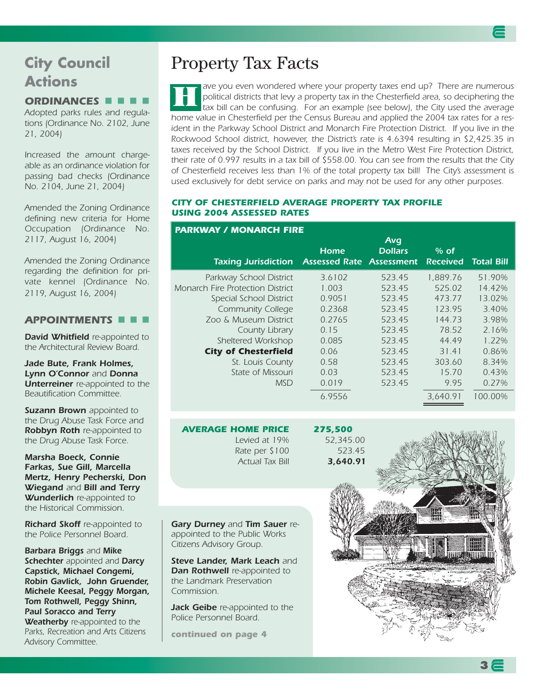### **City Council Actions**

### *ORDINANCES*

*Adopted parks rules and regulations (Ordinance No. 2102, June 21, 2004)*

*Increased the amount chargeable as an ordinance violation for passing bad checks (Ordinance No. 2104, June 21, 2004)*

*Amended the Zoning Ordinance defining new criteria for Home Occupation (Ordinance No. 2117, August 16, 2004)*

*Amended the Zoning Ordinance regarding the definition for private kennel (Ordinance No. 2119, August 16, 2004)*

### *APPOINTMENTS*

*David Whitfield re-appointed to the Architectural Review Board.*

*Jade Bute, Frank Holmes, Lynn O'Connor and Donna Unterreiner re-appointed to the Beautification Committee.*

*Suzann Brown appointed to the Drug Abuse Task Force and Robbyn Roth re-appointed to the Drug Abuse Task Force.*

*Marsha Boeck, Connie Farkas, Sue Gill, Marcella Mertz, Henry Pecherski, Don Wiegand and Bill and Terry Wunderlich re-appointed to the Historical Commission.*

*Richard Skoff re-appointed to the Police Personnel Board.*

*Barbara Briggs and Mike Schechter appointed and Darcy Capstick, Michael Congemi, Robin Gavlick, John Gruender, Michele Keesal, Peggy Morgan, Tom Rothwell, Peggy Shinn, Paul Soracco and Terry Weatherby re-appointed to the Parks, Recreation and Arts Citizens Advisory Committee.*

### Property Tax Facts

*ave you even wondered where your property taxes end up? There are numerous political districts that levy a property tax in the Chesterfield area, so deciphering the tax bill can be confusing. For an example (see below), the City used the average home value in Chesterfield per the Census Bureau and applied the 2004 tax rates for a resident in the Parkway School District and Monarch Fire Protection District. If you live in the Rockwood School district, however, the District's rate is 4.6394 resulting in \$2,425.35 in taxes received by the School District. If you live in the Metro West Fire Protection District, their rate of 0.997 results in a tax bill of \$558.00. You can see from the results that the City of Chesterfield receives less than 1% of the total property tax bill! The City's assessment is used exclusively for debt service on parks and may not be used for any other purposes.* **H**

#### *CITY OF CHESTERFIELD AVERAGE PROPERTY TAX PROFILE USING 2004 ASSESSED RATES*

|                                         |                                                | Avg            |                           |                   |
|-----------------------------------------|------------------------------------------------|----------------|---------------------------|-------------------|
| <b>Taxing Jurisdiction</b>              | <b>Home</b><br><b>Assessed Rate Assessment</b> | <b>Dollars</b> | $%$ of<br><b>Received</b> | <b>Total Bill</b> |
| Parkway School District                 | 3.6102                                         | 523.45         | 1.889.76                  | 51.90%            |
| <b>Monarch Fire Protection District</b> | 1.003                                          | 523.45         | 525.02                    | 14.42%            |
| Special School District                 | 0.9051                                         | 523.45         | 473.77                    | 13.02%            |
| <b>Community College</b>                | 0.2368                                         | 523.45         | 123.95                    | 3.40%             |
| Zoo & Museum District                   | 0.2765                                         | 523.45         | 144.73                    | 3.98%             |
| County Library                          | 0.15                                           | 523.45         | 78.52                     | 2.16%             |
| Sheltered Workshop                      | 0.085                                          | 523.45         | 44.49                     | $1.22\%$          |
| <b>City of Chesterfield</b>             | 0.06                                           | 523.45         | 31.41                     | 0.86%             |
| St. Louis County                        | 0.58                                           | 523.45         | 303.60                    | 8.34%             |
| State of Missouri                       | 0.03                                           | 523.45         | 15.70                     | 0.43%             |
| <b>MSD</b>                              | 0.019                                          | 523.45         | 9.95                      | 0.27%             |
|                                         | 6.9556                                         |                | 3.640.91                  | 100.00%           |

*AVERAGE HOME PRICE 275,500 Levied at 19% 52,345.00 Rate per \$100 523.45 Actual Tax Bill 3,640.91*

*Gary Durney and Tim Sauer reappointed to the Public Works Citizens Advisory Group.*

*Steve Lander, Mark Leach and Dan Rothwell re-appointed to the Landmark Preservation Commission.*

*Jack Geibe re-appointed to the Police Personnel Board.*

*continued on page 4*

![](_page_5_Picture_25.jpeg)

### *PARKWAY / MONARCH FIRE*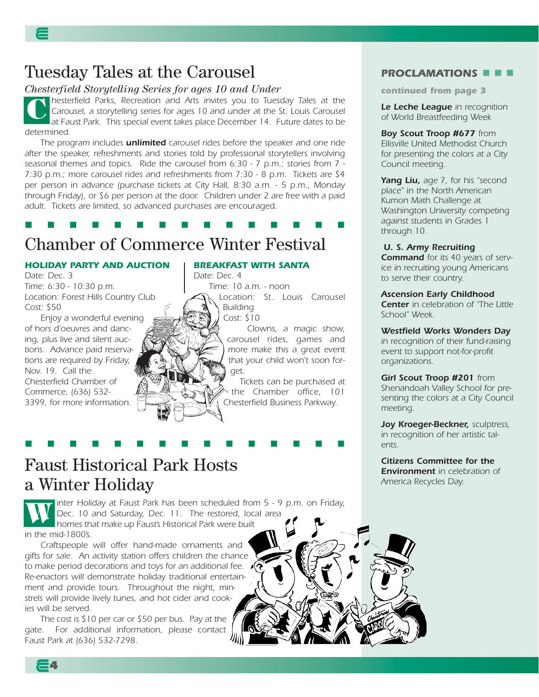### Tuesday Tales at the Carousel

### *Chesterfield Storytelling Series for ages 10 and Under*

*hesterfield Parks, Recreation and Arts invites you to Tuesday Tales at the Carousel, a storytelling series for ages 10 and under at the St. Louis Carousel at Faust Park. This special event takes place December 14. Future dates to be determined.*  **C**

*The program includes unlimited carousel rides before the speaker and one ride after the speaker, refreshments and stories told by professional storytellers involving seasonal themes and topics. Ride the carousel from 6:30 - 7 p.m.; stories from 7 - 7:30 p.m.; more carousel rides and refreshments from 7:30 - 8 p.m. Tickets are \$4 per person in advance (purchase tickets at City Hall, 8:30 a.m. - 5 p.m., Monday through Friday), or \$6 per person at the door. Children under 2 are free with a paid adult. Tickets are limited, so advanced purchases are encouraged.* 

### . . . . . . . . . . . . . . .

## Chamber of Commerce Winter Festival

### *HOLIDAY PARTY AND AUCTION*

*Date: Dec. 3 Time: 6:30 - 10:30 p.m. Location: Forest Hills Country Club Cost: \$50*

*Enjoy a wonderful evening of hors d'oeuvres and dancing, plus live and silent auctions. Advance paid reservations are required by Friday, Nov. 19. Call the Chesterfield Chamber of Commerce, (636) 532- 3399, for more information.*

#### *BREAKFAST WITH SANTA*

*Date: Dec. 4 Time: 10 a.m. - noon Location: St. Louis Carousel Building*

*Cost: \$10*

*Clowns, a magic show, carousel rides, games and more make this a great event that your child won't soon forget.* 

*Tickets can be purchased at the Chamber office, 101 Chesterfield Business Parkway.*

### Faust Historical Park Hosts a Winter Holiday

*inter Holiday at Faust Park has been scheduled from 5 - 9 p.m. on Friday, Dec. 10 and Saturday, Dec. 11. The restored, local area homes that make up Faust's Historical Park were built in the mid-1800's.* **W**

. . . . . . . . . . . . . . .

*Craftspeople will offer hand-made ornaments and gifts for sale. An activity station offers children the chance to make period decorations and toys for an additional fee. Re-enactors will demonstrate holiday traditional entertainment and provide tours. Throughout the night, minstrels will provide lively tunes, and hot cider and cookies will be served.* 

*The cost is \$10 per car or \$50 per bus. Pay at the gate. For additional information, please contact Faust Park at (636) 532-7298.* 

### *PROCLAMATIONS*

*continued from page 3*

*Le Leche League in recognition of World Breastfeeding Week*

*Boy Scout Troop #677 from Ellisville United Methodist Church for presenting the colors at a City Council meeting.*

*Yang Liu, age 7, for his "second place" in the North American Kumon Math Challenge at Washington University competing against students in Grades 1 through 10.*

#### *U. S. Army Recruiting Command for its 40 years of serv-*

*ice in recruiting young Americans to serve their country.*

*Ascension Early Childhood Center in celebration of "The Little*

*School" Week. Westfield Works Wonders Day*

*in recognition of their fund-raising event to support not-for-profit organizations.*

*Girl Scout Troop #201 from Shenandoah Valley School for presenting the colors at a City Council meeting.*

*Joy Kroeger-Beckner, sculptress, in recognition of her artistic talents.*

*Citizens Committee for the Environment in celebration of America Recycles Day.*

**4**